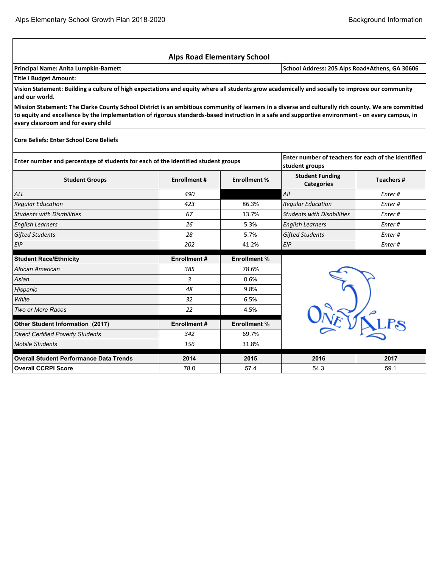|                                                                                                                                                                                                                                                                                                                                                  | <b>Alps Road Elementary School</b> |                     |                                                                       |           |  |  |  |  |
|--------------------------------------------------------------------------------------------------------------------------------------------------------------------------------------------------------------------------------------------------------------------------------------------------------------------------------------------------|------------------------------------|---------------------|-----------------------------------------------------------------------|-----------|--|--|--|--|
| Principal Name: Anita Lumpkin-Barnett<br>School Address: 205 Alps Road. Athens, GA 30606                                                                                                                                                                                                                                                         |                                    |                     |                                                                       |           |  |  |  |  |
| <b>Title I Budget Amount:</b>                                                                                                                                                                                                                                                                                                                    |                                    |                     |                                                                       |           |  |  |  |  |
| Vision Statement: Building a culture of high expectations and equity where all students grow academically and socially to improve our community<br>and our world.                                                                                                                                                                                |                                    |                     |                                                                       |           |  |  |  |  |
| Mission Statement: The Clarke County School District is an ambitious community of learners in a diverse and culturally rich county. We are committed<br>to equity and excellence by the implementation of rigorous standards-based instruction in a safe and supportive environment - on every campus, in<br>every classroom and for every child |                                    |                     |                                                                       |           |  |  |  |  |
| <b>Core Beliefs: Enter School Core Beliefs</b>                                                                                                                                                                                                                                                                                                   |                                    |                     |                                                                       |           |  |  |  |  |
| Enter number and percentage of students for each of the identified student groups                                                                                                                                                                                                                                                                |                                    |                     | Enter number of teachers for each of the identified<br>student groups |           |  |  |  |  |
| <b>Student Groups</b>                                                                                                                                                                                                                                                                                                                            | <b>Enrollment #</b>                | <b>Enrollment %</b> | <b>Student Funding</b><br><b>Categories</b>                           | Teachers# |  |  |  |  |
| <b>ALL</b>                                                                                                                                                                                                                                                                                                                                       | 490                                |                     | All                                                                   | Enter#    |  |  |  |  |
| <b>Regular Education</b>                                                                                                                                                                                                                                                                                                                         | 423                                | 86.3%               | <b>Regular Education</b>                                              | Enter#    |  |  |  |  |
| <b>Students with Disabilities</b>                                                                                                                                                                                                                                                                                                                | 67                                 | 13.7%               | <b>Students with Disabilities</b>                                     | Enter#    |  |  |  |  |
| <b>English Learners</b>                                                                                                                                                                                                                                                                                                                          | 26                                 | 5.3%                | <b>English Learners</b>                                               | Enter#    |  |  |  |  |
| <b>Gifted Students</b>                                                                                                                                                                                                                                                                                                                           | 28                                 | 5.7%                | <b>Gifted Students</b>                                                | Enter#    |  |  |  |  |
| EIP                                                                                                                                                                                                                                                                                                                                              | 202                                | 41.2%               | EIP                                                                   | Enter #   |  |  |  |  |
| <b>Student Race/Ethnicity</b>                                                                                                                                                                                                                                                                                                                    | <b>Enrollment#</b>                 | <b>Enrollment %</b> |                                                                       |           |  |  |  |  |
| African American                                                                                                                                                                                                                                                                                                                                 | 385                                | 78.6%               |                                                                       |           |  |  |  |  |
| Asian                                                                                                                                                                                                                                                                                                                                            | 3                                  | 0.6%                |                                                                       |           |  |  |  |  |
| Hispanic                                                                                                                                                                                                                                                                                                                                         | 48                                 | 9.8%                |                                                                       |           |  |  |  |  |
| White                                                                                                                                                                                                                                                                                                                                            | 32                                 | 6.5%                |                                                                       |           |  |  |  |  |
| Two or More Races                                                                                                                                                                                                                                                                                                                                | 22                                 | 4.5%                |                                                                       |           |  |  |  |  |
| Other Student Information (2017)                                                                                                                                                                                                                                                                                                                 | <b>Enrollment#</b>                 | <b>Enrollment %</b> |                                                                       |           |  |  |  |  |
| <b>Direct Certified Poverty Students</b>                                                                                                                                                                                                                                                                                                         | 342                                | 69.7%               |                                                                       |           |  |  |  |  |
| <b>Mobile Students</b>                                                                                                                                                                                                                                                                                                                           | 156                                | 31.8%               |                                                                       |           |  |  |  |  |
| <b>Overall Student Performance Data Trends</b>                                                                                                                                                                                                                                                                                                   | 2014                               | 2015                | 2016                                                                  | 2017      |  |  |  |  |
| <b>Overall CCRPI Score</b>                                                                                                                                                                                                                                                                                                                       | 78.0                               | 57.4                | 54.3                                                                  | 59.1      |  |  |  |  |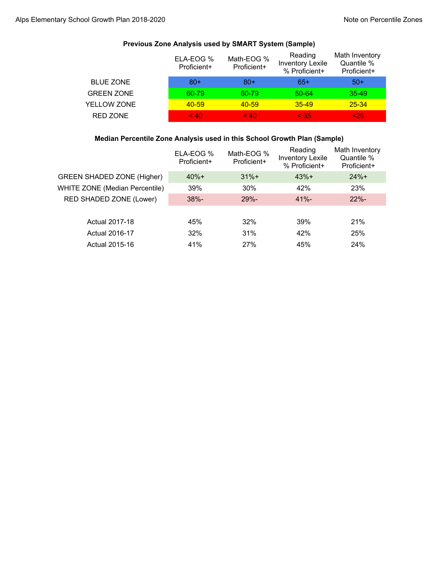|                   | ELA-EOG %<br>Proficient+ | Math-EOG %<br>Proficient+ | Reading<br><b>Inventory Lexile</b><br>% Proficient+ | Math Inventory<br>Quantile %<br>Proficient+ |
|-------------------|--------------------------|---------------------------|-----------------------------------------------------|---------------------------------------------|
| <b>BLUE ZONE</b>  | $80+$                    | $80+$                     | 65+                                                 | $50+$                                       |
| <b>GREEN ZONE</b> | 60-79                    | 60-79                     | 50-64                                               | $35 - 49$                                   |
| YELLOW ZONE       | $40 - 59$                | $40 - 59$                 | $35 - 49$                                           | $25 - 34$                                   |
| <b>RED ZONE</b>   | < 40                     | < 40                      | < 35                                                | $25$                                        |

## **Previous Zone Analysis used by SMART System (Sample)**

### **Median Percentile Zone Analysis used in this School Growth Plan (Sample)**

|                                       | ELA-EOG %<br>Proficient+ | Math-EOG %<br>Proficient+ | Reading<br><b>Inventory Lexile</b><br>% Proficient+ | Math Inventory<br>Quantile %<br>Proficient+ |
|---------------------------------------|--------------------------|---------------------------|-----------------------------------------------------|---------------------------------------------|
| <b>GREEN SHADED ZONE (Higher)</b>     | $40% +$                  | $31%+$                    | $43%+$                                              | $24%+$                                      |
| <b>WHITE ZONE (Median Percentile)</b> | 39%                      | 30%                       | 42%                                                 | 23%                                         |
| RED SHADED ZONE (Lower)               | $38% -$                  | $29% -$                   | $41% -$                                             | $22% -$                                     |
|                                       |                          |                           |                                                     |                                             |
| Actual 2017-18                        | 45%                      | 32%                       | 39%                                                 | 21%                                         |
| Actual 2016-17                        | 32%                      | 31%                       | 42%                                                 | 25%                                         |
| Actual 2015-16                        | 41%                      | 27%                       | 45%                                                 | 24%                                         |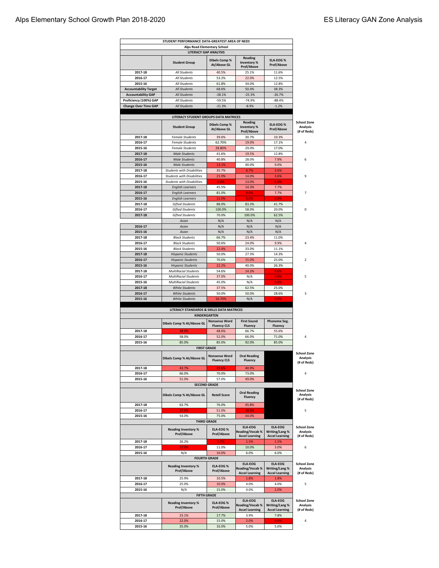## Alps Elementary School Growth Plan 2018-2020 **ES Literacy GAN Zone Analysis** ES Literacy GAN Zone Analysis

|                                                     | STUDENT PERFORMANCE DATA-GREATEST AREA OF NEED                 |                                            |                                                                   |                                                    |                                                                                                                                                                                                                                   |
|-----------------------------------------------------|----------------------------------------------------------------|--------------------------------------------|-------------------------------------------------------------------|----------------------------------------------------|-----------------------------------------------------------------------------------------------------------------------------------------------------------------------------------------------------------------------------------|
|                                                     | <b>Alps Road Elementary School</b><br>LITERACY GAP ANALYSIS    |                                            |                                                                   |                                                    |                                                                                                                                                                                                                                   |
|                                                     | <b>Student Group</b>                                           | <b>Dibels Comp %</b><br>At/Above GL        | <b>Reading</b><br>Inventory %<br><b>Prof/Above</b>                | <b>ELA-EOG%</b><br><b>Prof/Above</b>               |                                                                                                                                                                                                                                   |
| 2017-18                                             | All Students                                                   | 40.5%                                      | 25.1%                                                             | 11.6%                                              |                                                                                                                                                                                                                                   |
| 2016-17                                             | <b>All Students</b>                                            | 53.2%                                      | 22.0%                                                             | 12.5%                                              |                                                                                                                                                                                                                                   |
| 2015-16                                             | <b>All Students</b>                                            | 61.8%                                      | 34.0%                                                             | 12.8%                                              |                                                                                                                                                                                                                                   |
| <b>Accountability Target</b>                        | <b>All Students</b>                                            | 68.6%                                      | 50.4%                                                             | 38.3%                                              |                                                                                                                                                                                                                                   |
| <b>Accountability GAP</b><br>Proficiency (100%) GAP | All Students<br>All Students                                   | $-28.1%$<br>$-59.5%$                       | $-25.3%$<br>$-74.9%$                                              | $-26.7%$<br>$-88.4%$                               |                                                                                                                                                                                                                                   |
| <b>Change Over Time GAP</b>                         | <b>All Students</b>                                            | $-21.3%$                                   | $-8.9%$                                                           | $-1.2%$                                            |                                                                                                                                                                                                                                   |
|                                                     |                                                                |                                            |                                                                   |                                                    |                                                                                                                                                                                                                                   |
|                                                     | LITERACY STUDENT GROUPS DATA MATRICES                          |                                            |                                                                   |                                                    |                                                                                                                                                                                                                                   |
|                                                     | <b>Student Group</b>                                           | <b>Dibels Comp %</b><br>At/Above GL        | Reading<br>Inventory %<br><b>Prof/Above</b>                       | <b>ELA-EOG%</b><br><b>Prof/Above</b>               | <b>School Zone</b><br><b>Analysis</b><br>(# of Reds)                                                                                                                                                                              |
| 2017-18                                             | <b>Female Students</b>                                         | 39.6%                                      | 30.7%                                                             | 10.3%                                              |                                                                                                                                                                                                                                   |
| 2016-17                                             | <b>Female Students</b>                                         | 62.70%                                     | 19.0%                                                             | 17.1%                                              | 4                                                                                                                                                                                                                                 |
| 2015-16                                             | <b>Female Students</b>                                         | 28.80%                                     | 29.0%                                                             | 17.0%                                              |                                                                                                                                                                                                                                   |
| 2017-18                                             | <b>Male Students</b>                                           | 41.6%                                      | 19.5%                                                             | 12.8%                                              |                                                                                                                                                                                                                                   |
| 2016-17<br>2015-16                                  | <b>Male Students</b><br><b>Male Students</b>                   | 40.8%<br>13.1%                             | 28.0%<br>40.0%                                                    | 7.9%<br>9.0%                                       | 6                                                                                                                                                                                                                                 |
| 2017-18                                             | <b>Students with Disabilities</b>                              | 35.7%                                      | 6.7%                                                              | 3.6%                                               |                                                                                                                                                                                                                                   |
| 2016-17                                             | <b>Students with Disabilities</b>                              | 21.0%                                      | 14.0%                                                             | 3.6%                                               | 9                                                                                                                                                                                                                                 |
| 2015-16                                             | <b>Students with Disabilities</b>                              | 0.0%                                       | 13.0%                                                             | 0.0%                                               |                                                                                                                                                                                                                                   |
| 2017-18                                             | <b>English Learners</b>                                        | 45.5%                                      | 14.3%                                                             | 7.7%                                               |                                                                                                                                                                                                                                   |
| 2016-17                                             | <b>English Learners</b>                                        | 81.0%                                      | 0.0%                                                              | 7.7%                                               | 7                                                                                                                                                                                                                                 |
| 2015-16                                             | <b>English Learners</b>                                        | 11.0%                                      | 0.0%                                                              | 0.0%                                               |                                                                                                                                                                                                                                   |
| 2017-18                                             | <b>Gifted Students</b>                                         | 88.0%                                      | 83.3%                                                             | 41.7%                                              |                                                                                                                                                                                                                                   |
| 2016-17                                             | <b>Gifted Students</b>                                         | 100.0%                                     | 58.0%                                                             | 20.0%                                              | $\Omega$                                                                                                                                                                                                                          |
| 2017-18                                             | <b>Gifted Students</b><br>Asian                                | 70.0%<br>N/A                               | 100.0%<br>N/A                                                     | 62.5%<br>N/A                                       |                                                                                                                                                                                                                                   |
| 2016-17                                             | Asian                                                          | N/A                                        | N/A                                                               | N/A                                                |                                                                                                                                                                                                                                   |
| 2015-16                                             | Asian                                                          | N/A                                        | N/A                                                               | N/A                                                |                                                                                                                                                                                                                                   |
| 2017-18                                             | <b>Black Students</b>                                          | 66.7%                                      | 23.4%                                                             | 11.0%                                              |                                                                                                                                                                                                                                   |
| 2016-17                                             | <b>Black Students</b>                                          | 50.6%                                      | 24.0%                                                             | 9.9%                                               | 4                                                                                                                                                                                                                                 |
| 2015-16                                             | <b>Black Students</b>                                          | 22.4%                                      | 33.0%                                                             | 11.1%                                              |                                                                                                                                                                                                                                   |
| 2017-18                                             | <b>Hispanic Students</b>                                       | 50.0%                                      | 27.3%                                                             | 14.3%                                              |                                                                                                                                                                                                                                   |
| 2016-17                                             | <b>Hispanic Students</b>                                       | 70.6%                                      | 15.0%                                                             | 25.0%                                              | $\overline{\phantom{a}}$                                                                                                                                                                                                          |
| 2015-16                                             | <b>Hispanic Students</b>                                       | 22.2%                                      | 40.0%                                                             | 26.3%                                              |                                                                                                                                                                                                                                   |
| 2017-18                                             | <b>MultiRacial Students</b>                                    | 54.6%                                      | 14.3%                                                             | 0.0%                                               | 5                                                                                                                                                                                                                                 |
| 2016-17<br>2015-16                                  | <b>MultiRacial Students</b><br><b>MultiRacial Students</b>     | 37.0%<br>45.0%                             | N/A<br>N/A                                                        | 0.0%<br>0.0%                                       |                                                                                                                                                                                                                                   |
| 2017-18                                             | <b>White Students</b>                                          | 37.5%                                      | 62.5%                                                             | 25.0%                                              |                                                                                                                                                                                                                                   |
| 2016-17                                             | <b>White Students</b>                                          | 50.0%                                      | 50.0%                                                             | 28.6%                                              | 3                                                                                                                                                                                                                                 |
| 2015-16                                             | <b>White Students</b>                                          | 16.70%                                     | N/A                                                               | 0.0%                                               |                                                                                                                                                                                                                                   |
|                                                     | LITERACY STANDARDS & SKILLS DATA MATRICES                      |                                            |                                                                   |                                                    |                                                                                                                                                                                                                                   |
|                                                     | KINDERGARTEN                                                   | <b>Nonsense Word</b>                       | <b>First Sound</b>                                                | Phoneme Seg.                                       |                                                                                                                                                                                                                                   |
|                                                     | Dibels Comp % At/Above GL                                      | <b>Fluency CLS</b>                         | Fluency                                                           | <b>Fluency</b>                                     |                                                                                                                                                                                                                                   |
| 2017-18                                             | 38.9%                                                          | 48.6%                                      | 66.7%                                                             | 55.6%                                              |                                                                                                                                                                                                                                   |
| 2016-17                                             | 58.0%                                                          | 52.0%                                      | 66.0%                                                             | 71.0%                                              | 4                                                                                                                                                                                                                                 |
| 2015-16                                             | 85.0%<br><b>FIRST GRADE</b>                                    | 85.0%                                      | 92.0%                                                             | 85.0%                                              |                                                                                                                                                                                                                                   |
|                                                     | Dibels Comp % At/Above GL                                      | <b>Nonsense Word</b><br><b>Fluency CLS</b> | <b>Oral Reading</b><br><b>Fluency</b>                             |                                                    | <b>School Zone</b><br>Analysis                                                                                                                                                                                                    |
|                                                     |                                                                |                                            |                                                                   |                                                    | (# of Reds)                                                                                                                                                                                                                       |
| 2017-18                                             |                                                                |                                            |                                                                   |                                                    |                                                                                                                                                                                                                                   |
|                                                     | 43.7%                                                          | 29.6%                                      | 40.9%                                                             |                                                    |                                                                                                                                                                                                                                   |
| 2016-17                                             | 66.0%                                                          | 70.0%                                      | 73.0%                                                             |                                                    | 4                                                                                                                                                                                                                                 |
| 2015-16                                             | 51.0%<br><b>SECOND GRADE</b>                                   | 57.0%                                      | 49.0%                                                             |                                                    |                                                                                                                                                                                                                                   |
|                                                     | Dibels Comp % At/Above GL                                      | <b>Retell Score</b>                        | <b>Oral Reading</b><br><b>Fluency</b>                             |                                                    |                                                                                                                                                                                                                                   |
| 2017-18                                             |                                                                |                                            |                                                                   |                                                    |                                                                                                                                                                                                                                   |
| 2016-17                                             | 63.7%<br>37.0%                                                 | 76.0%<br>51.0%                             | 45.8%<br>28.0%                                                    |                                                    | 5                                                                                                                                                                                                                                 |
| 2015-16                                             | 54.0%                                                          | 75.0%                                      | 44.0%                                                             |                                                    |                                                                                                                                                                                                                                   |
|                                                     | <b>THIRD GRADE</b>                                             |                                            |                                                                   |                                                    |                                                                                                                                                                                                                                   |
|                                                     | <b>Reading Inventory %</b><br>Prof/Above                       | ELA-EOG %<br>Prof/Above                    | <b>ELA-EOG</b><br><b>Reading/Vocab %</b><br><b>Accel Learning</b> | ELA-EOG<br>Writing/Lang %<br><b>Accel Learning</b> |                                                                                                                                                                                                                                   |
| 2017-18                                             | 26.2%                                                          | 7.7%                                       | 1.5%                                                              | 1.5%                                               |                                                                                                                                                                                                                                   |
| 2016-17                                             | 17.0%                                                          | 11.0%                                      | 10.0%                                                             | 3.0%                                               | 6                                                                                                                                                                                                                                 |
| 2015-16                                             | N/A                                                            | 10.0%                                      | 6.0%                                                              | 6.0%                                               |                                                                                                                                                                                                                                   |
|                                                     | <b>FOURTH GRADE</b><br><b>Reading Inventory %</b>              | ELA-EOG %                                  | <b>ELA-EOG</b><br><b>Reading/Vocab %</b>                          | <b>ELA-EOG</b><br>Writing/Lang %                   |                                                                                                                                                                                                                                   |
|                                                     | Prof/Above                                                     | Prof/Above                                 | <b>Accel Learning</b>                                             | <b>Accel Learning</b>                              |                                                                                                                                                                                                                                   |
| 2017-18                                             | 25.9%                                                          | 10.5%                                      | 1.8%                                                              | 1.8%                                               |                                                                                                                                                                                                                                   |
| 2016-17                                             | 25.0%                                                          | 10.0%                                      | 4.0%                                                              | 4.0%                                               | 5                                                                                                                                                                                                                                 |
| 2015-16                                             | N/A                                                            | 15.0%                                      | 4.0%                                                              | 2.0%                                               |                                                                                                                                                                                                                                   |
|                                                     | <b>FIFTH GRADE</b><br><b>Reading Inventory %</b><br>Prof/Above | ELA-EOG %<br>Prof/Above                    | <b>ELA-EOG</b><br>Reading/Vocab %                                 | <b>ELA-EOG</b><br>Writing/Lang %                   |                                                                                                                                                                                                                                   |
| 2017-18                                             | 23.1%                                                          | 17.7%                                      | <b>Accel Learning</b><br>3.9%                                     | <b>Accel Learning</b><br>7.8%                      |                                                                                                                                                                                                                                   |
| 2016-17                                             | 22.0%                                                          | 15.0%                                      | 2.0%                                                              | 0.0%                                               | <b>School Zone</b><br><b>Analysis</b><br>(# of Reds)<br><b>School Zone</b><br><b>Analysis</b><br>(# of Reds)<br><b>School Zone</b><br><b>Analysis</b><br>(# of Reds)<br><b>School Zone</b><br><b>Analysis</b><br>(# of Reds)<br>4 |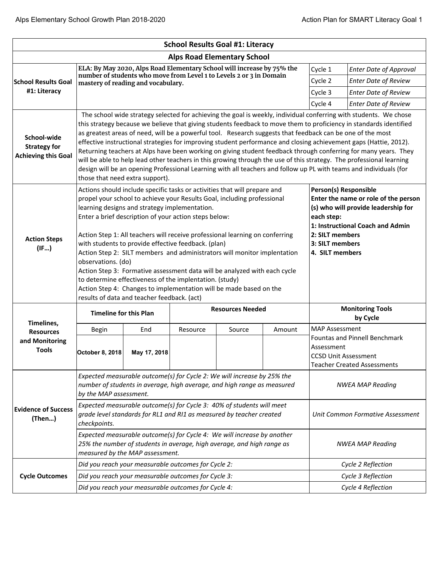|                                                                  |                                                                                                                                                                                                                                                                                                                                                                                                                                                                                                                                                                                                                                                                                                                                                                                                                                             |                                                                                                                                                                                      |          | <b>School Results Goal #1: Literacy</b> |                                                                     |                                                                                                                                          |                                                                                                           |  |
|------------------------------------------------------------------|---------------------------------------------------------------------------------------------------------------------------------------------------------------------------------------------------------------------------------------------------------------------------------------------------------------------------------------------------------------------------------------------------------------------------------------------------------------------------------------------------------------------------------------------------------------------------------------------------------------------------------------------------------------------------------------------------------------------------------------------------------------------------------------------------------------------------------------------|--------------------------------------------------------------------------------------------------------------------------------------------------------------------------------------|----------|-----------------------------------------|---------------------------------------------------------------------|------------------------------------------------------------------------------------------------------------------------------------------|-----------------------------------------------------------------------------------------------------------|--|
|                                                                  |                                                                                                                                                                                                                                                                                                                                                                                                                                                                                                                                                                                                                                                                                                                                                                                                                                             |                                                                                                                                                                                      |          | <b>Alps Road Elementary School</b>      |                                                                     |                                                                                                                                          |                                                                                                           |  |
|                                                                  | ELA: By May 2020, Alps Road Elementary School will increase by 75% the<br>number of students who move from Level 1 to Levels 2 or 3 in Domain                                                                                                                                                                                                                                                                                                                                                                                                                                                                                                                                                                                                                                                                                               |                                                                                                                                                                                      |          |                                         |                                                                     |                                                                                                                                          | <b>Enter Date of Approval</b>                                                                             |  |
| <b>School Results Goal</b>                                       |                                                                                                                                                                                                                                                                                                                                                                                                                                                                                                                                                                                                                                                                                                                                                                                                                                             | mastery of reading and vocabulary.                                                                                                                                                   |          |                                         |                                                                     | Cycle 2                                                                                                                                  | <b>Enter Date of Review</b>                                                                               |  |
| #1: Literacy                                                     |                                                                                                                                                                                                                                                                                                                                                                                                                                                                                                                                                                                                                                                                                                                                                                                                                                             |                                                                                                                                                                                      |          |                                         |                                                                     |                                                                                                                                          | <b>Enter Date of Review</b>                                                                               |  |
|                                                                  |                                                                                                                                                                                                                                                                                                                                                                                                                                                                                                                                                                                                                                                                                                                                                                                                                                             |                                                                                                                                                                                      |          |                                         |                                                                     | Cycle 4                                                                                                                                  | <b>Enter Date of Review</b>                                                                               |  |
| School-wide<br><b>Strategy for</b><br><b>Achieving this Goal</b> | The school wide strategy selected for achieving the goal is weekly, individual conferring with students. We chose<br>this strategy because we believe that giving students feedback to move them to proficiency in standards identified<br>as greatest areas of need, will be a powerful tool. Research suggests that feedback can be one of the most<br>effective instructional strategies for improving student performance and closing achievement gaps (Hattie, 2012).<br>Returning teachers at Alps have been working on giving student feedback through conferring for many years. They<br>will be able to help lead other teachers in this growing through the use of this strategy. The professional learning<br>design will be an opening Professional Learning with all teachers and follow up PL with teams and individuals (for |                                                                                                                                                                                      |          |                                         |                                                                     |                                                                                                                                          |                                                                                                           |  |
| <b>Action Steps</b><br>(IF)                                      | those that need extra support).<br>Actions should include specific tasks or activities that will prepare and<br>propel your school to achieve your Results Goal, including professional<br>learning designs and strategy implementation.<br>Enter a brief description of your action steps below:<br>Action Step 1: All teachers will receive professional learning on conferring<br>with students to provide effective feedback. (plan)<br>Action Step 2: SILT members and administrators will monitor implentation<br>observations. (do)<br>Action Step 3: Formative assessment data will be analyzed with each cycle<br>to determine effectiveness of the implentation. (study)<br>Action Step 4: Changes to implementation will be made based on the                                                                                    |                                                                                                                                                                                      |          |                                         | each step:<br>2: SILT members<br>3: SILT members<br>4. SILT members | Person(s) Responsible<br>Enter the name or role of the person<br>(s) who will provide leadership for<br>1: Instructional Coach and Admin |                                                                                                           |  |
|                                                                  | <b>Timeline for this Plan</b>                                                                                                                                                                                                                                                                                                                                                                                                                                                                                                                                                                                                                                                                                                                                                                                                               |                                                                                                                                                                                      |          | <b>Resources Needed</b>                 |                                                                     |                                                                                                                                          | <b>Monitoring Tools</b><br>by Cycle                                                                       |  |
| Timelines,<br><b>Resources</b>                                   | Begin                                                                                                                                                                                                                                                                                                                                                                                                                                                                                                                                                                                                                                                                                                                                                                                                                                       | End                                                                                                                                                                                  | Resource | Source                                  | Amount                                                              |                                                                                                                                          |                                                                                                           |  |
| and Monitoring<br><b>Tools</b>                                   |                                                                                                                                                                                                                                                                                                                                                                                                                                                                                                                                                                                                                                                                                                                                                                                                                                             |                                                                                                                                                                                      |          |                                         |                                                                     | <b>MAP Assessment</b>                                                                                                                    |                                                                                                           |  |
|                                                                  | October 8, 2018                                                                                                                                                                                                                                                                                                                                                                                                                                                                                                                                                                                                                                                                                                                                                                                                                             | May 17, 2018                                                                                                                                                                         |          |                                         |                                                                     | Assessment                                                                                                                               | <b>Fountas and Pinnell Benchmark</b><br><b>CCSD Unit Assessment</b><br><b>Teacher Created Assessments</b> |  |
|                                                                  | by the MAP assessment.                                                                                                                                                                                                                                                                                                                                                                                                                                                                                                                                                                                                                                                                                                                                                                                                                      | Expected measurable outcome(s) for Cycle 2: We will increase by 25% the<br>number of students in average, high average, and high range as measured                                   |          |                                         |                                                                     |                                                                                                                                          | <b>NWEA MAP Reading</b>                                                                                   |  |
| <b>Evidence of Success</b><br>(Then)                             | checkpoints.                                                                                                                                                                                                                                                                                                                                                                                                                                                                                                                                                                                                                                                                                                                                                                                                                                | Expected measurable outcome(s) for Cycle 3: 40% of students will meet<br>grade level standards for RL1 and RI1 as measured by teacher created                                        |          |                                         |                                                                     |                                                                                                                                          | Unit Common Formative Assessment                                                                          |  |
|                                                                  |                                                                                                                                                                                                                                                                                                                                                                                                                                                                                                                                                                                                                                                                                                                                                                                                                                             | Expected measurable outcome(s) for Cycle 4: We will increase by another<br>25% the number of students in average, high average, and high range as<br>measured by the MAP assessment. |          |                                         |                                                                     |                                                                                                                                          | <b>NWEA MAP Reading</b>                                                                                   |  |
|                                                                  |                                                                                                                                                                                                                                                                                                                                                                                                                                                                                                                                                                                                                                                                                                                                                                                                                                             | Did you reach your measurable outcomes for Cycle 2:                                                                                                                                  |          |                                         |                                                                     |                                                                                                                                          | Cycle 2 Reflection                                                                                        |  |
| <b>Cycle Outcomes</b>                                            |                                                                                                                                                                                                                                                                                                                                                                                                                                                                                                                                                                                                                                                                                                                                                                                                                                             | Did you reach your measurable outcomes for Cycle 3:                                                                                                                                  |          |                                         |                                                                     |                                                                                                                                          | Cycle 3 Reflection                                                                                        |  |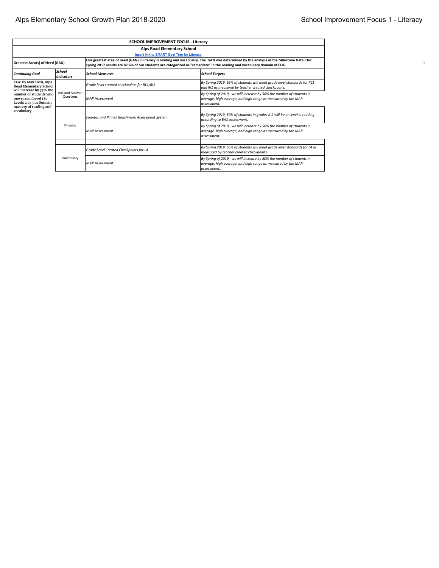|                                                                                                     | SCHOOL IMPROVEMENT FOCUS - Literacy |                                                                                                                           |                                                                                                                                                      |  |  |  |  |  |
|-----------------------------------------------------------------------------------------------------|-------------------------------------|---------------------------------------------------------------------------------------------------------------------------|------------------------------------------------------------------------------------------------------------------------------------------------------|--|--|--|--|--|
|                                                                                                     | Alps Road Elementary School         |                                                                                                                           |                                                                                                                                                      |  |  |  |  |  |
| <b>Insert link to SMART Goal Tree for Literacy</b>                                                  |                                     |                                                                                                                           |                                                                                                                                                      |  |  |  |  |  |
| Greatest Area(s) of Need (GAN)                                                                      |                                     | spring 2017 results are 87.6% of our students are categorized as "remediate" in the reading and vocabulary domain of EOG. | Our greatest area of need (GAN) in literacy is reading and vocabulary. The GAN was determined by the analysis of the Milestone Data. Our             |  |  |  |  |  |
| <b>Continuing Goal</b>                                                                              | School<br><b>Indicators</b>         | <b>School Measures</b>                                                                                                    | <b>School Targets</b>                                                                                                                                |  |  |  |  |  |
| ELA: By May 2020, Alps<br>Road Elementary School<br>will increase by 75% the                        |                                     | Grade level created checkpoints for RL1/RI1                                                                               | By Spring 2019, 65% of students will meet grade level standards for RL1<br>and RI1 as measured by teacher created checkpoints.                       |  |  |  |  |  |
| number of students who<br>move from Level 1 to<br>Levels 2 or 3 in Domain<br>mastery of reading and | Ask and Answer<br>Questions         | <b>MAP Assessment</b>                                                                                                     | By Spring of 2019, we will increase by 50% the number of students in<br>average, high average, and high range as measured by the MAP<br>lassessment. |  |  |  |  |  |
| vocabulary.                                                                                         |                                     | Fountas and Pinnell Benchmark Assessment System                                                                           | By Spring 2019, 50% of students in grades K-2 will be on level in reading<br>accordina to BAS assessment.                                            |  |  |  |  |  |
|                                                                                                     | Phonics                             | <b>MAP Assessment</b>                                                                                                     | By Spring of 2019, we will increase by 50% the number of students in<br>average, high average, and high range as measured by the MAP<br>lassessment. |  |  |  |  |  |
|                                                                                                     |                                     |                                                                                                                           |                                                                                                                                                      |  |  |  |  |  |
|                                                                                                     |                                     | Grade Level Created Checkpoints for L4                                                                                    | By Spring 2019, 65% of students will meet grade level standards for L4 as<br>measured by teacher created checkpoints.                                |  |  |  |  |  |
|                                                                                                     | Vocabulary                          | <b>MAP Assessment</b>                                                                                                     | By Spring of 2019, we will increase by 50% the number of students in<br>average, high average, and high range as measured by the MAP<br>assessment   |  |  |  |  |  |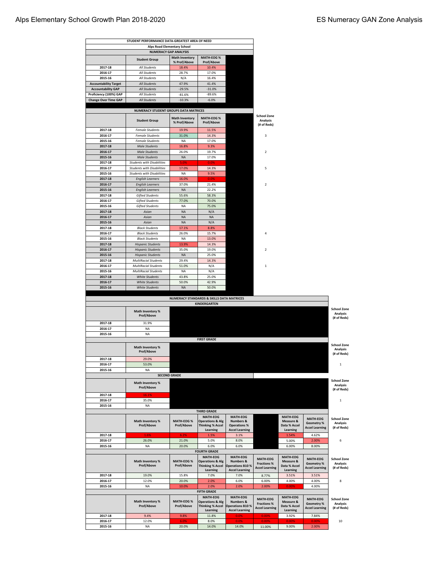|                                         | STUDENT PERFORMANCE DATA-GREATEST AREA OF NEED          |                                                                    |                                                                           |                                                                   |                                                                |                                              |                                                        |                                                      |
|-----------------------------------------|---------------------------------------------------------|--------------------------------------------------------------------|---------------------------------------------------------------------------|-------------------------------------------------------------------|----------------------------------------------------------------|----------------------------------------------|--------------------------------------------------------|------------------------------------------------------|
|                                         |                                                         | <b>Alps Road Elementary School</b><br><b>NUMERACY GAP ANALYSIS</b> |                                                                           |                                                                   |                                                                |                                              |                                                        |                                                      |
|                                         |                                                         | <b>Math Inventory</b>                                              | <b>MATH-EOG%</b>                                                          |                                                                   |                                                                |                                              |                                                        |                                                      |
|                                         | <b>Student Group</b>                                    | % Prof/Above                                                       | Prof/Above                                                                |                                                                   |                                                                |                                              |                                                        |                                                      |
| 2017-18                                 | All Students                                            | 18.4%                                                              | 10.4%                                                                     |                                                                   |                                                                |                                              |                                                        |                                                      |
| 2016-17                                 | All Students                                            | 28.7%                                                              | 17.0%                                                                     |                                                                   |                                                                |                                              |                                                        |                                                      |
| 2015-16<br><b>Accountability Target</b> | All Students<br>All Students                            | N/A<br>47.9%                                                       | 16.4%<br>41.4%                                                            |                                                                   |                                                                |                                              |                                                        |                                                      |
| <b>Accountability GAP</b>               | <b>All Students</b>                                     | $-29.5%$                                                           | $-31.0%$                                                                  |                                                                   |                                                                |                                              |                                                        |                                                      |
| Proficiency (100%) GAP                  | All Students                                            | $-81.6%$                                                           | $-89.6%$                                                                  |                                                                   |                                                                |                                              |                                                        |                                                      |
| <b>Change Over Time GAP</b>             | <b>All Students</b>                                     | $-10.3%$                                                           | $-6.0%$                                                                   |                                                                   |                                                                |                                              |                                                        |                                                      |
|                                         |                                                         |                                                                    |                                                                           |                                                                   |                                                                |                                              |                                                        |                                                      |
|                                         | NUMERACY STUDENT GROUPS DATA MATRICES                   |                                                                    |                                                                           |                                                                   |                                                                |                                              |                                                        |                                                      |
|                                         | <b>Student Group</b>                                    | <b>Math Inventory</b><br>% Prof/Above                              | <b>MATH-EOG%</b><br>Prof/Above                                            |                                                                   | <b>School Zone</b><br><b>Analysis</b><br>(# of Reds)           |                                              |                                                        |                                                      |
| 2017-18                                 | <b>Female Students</b>                                  | 19.9%                                                              | 11.5%                                                                     |                                                                   |                                                                |                                              |                                                        |                                                      |
| 2016-17<br>2015-16                      | <b>Female Students</b><br><b>Female Students</b>        | 31.0%<br><b>NA</b>                                                 | 14.3%<br>17.0%                                                            |                                                                   | 3                                                              |                                              |                                                        |                                                      |
| 2017-18                                 | <b>Male Students</b>                                    | 16.8%                                                              | 9.3%                                                                      |                                                                   |                                                                |                                              |                                                        |                                                      |
| 2016-17                                 | <b>Male Students</b>                                    | 26.0%                                                              | 19.7%                                                                     |                                                                   | $\overline{\mathbf{2}}$                                        |                                              |                                                        |                                                      |
| 2015-16                                 | <b>Male Students</b>                                    | <b>NA</b>                                                          | 17.0%                                                                     |                                                                   |                                                                |                                              |                                                        |                                                      |
| 2017-18                                 | <b>Students with Disabilities</b>                       | 5.0%                                                               | 0.0%                                                                      |                                                                   |                                                                |                                              |                                                        |                                                      |
| 2016-17                                 | <b>Students with Disabilities</b>                       | 17.0%                                                              | 14.3%                                                                     |                                                                   | 5                                                              |                                              |                                                        |                                                      |
| 2015-16                                 | <b>Students with Disabilities</b>                       | NA                                                                 | 9.5%                                                                      |                                                                   |                                                                |                                              |                                                        |                                                      |
| 2017-18                                 | <b>English Learners</b>                                 | 16.0%                                                              | 0.0%                                                                      |                                                                   |                                                                |                                              |                                                        |                                                      |
| 2016-17                                 | <b>English Learners</b>                                 | 37.0%                                                              | 21.4%                                                                     |                                                                   | $\overline{\mathbf{2}}$                                        |                                              |                                                        |                                                      |
| 2015-16<br>2017-18                      | <b>English Learners</b><br><b>Gifted Students</b>       | <b>NA</b><br>55.6%                                                 | 22.2%<br>58.3%                                                            |                                                                   |                                                                |                                              |                                                        |                                                      |
| 2016-17                                 | <b>Gifted Students</b>                                  | 77.0%                                                              | 70.0%                                                                     |                                                                   |                                                                |                                              |                                                        |                                                      |
| 2015-16                                 | <b>Gifted Students</b>                                  | <b>NA</b>                                                          | 75.0%                                                                     |                                                                   |                                                                |                                              |                                                        |                                                      |
| 2017-18                                 | Asian                                                   | <b>NA</b>                                                          | N/A                                                                       |                                                                   |                                                                |                                              |                                                        |                                                      |
| 2016-17                                 | Asian                                                   | <b>NA</b>                                                          | <b>NA</b>                                                                 |                                                                   |                                                                |                                              |                                                        |                                                      |
| 2015-16                                 | Asian                                                   | <b>NA</b>                                                          | N/A                                                                       |                                                                   |                                                                |                                              |                                                        |                                                      |
| 2017-18                                 | <b>Black Students</b>                                   | 17.1%                                                              | 8.8%                                                                      |                                                                   |                                                                |                                              |                                                        |                                                      |
| 2016-17                                 | <b>Black Students</b>                                   | 26.0%                                                              | 15.7%                                                                     |                                                                   | 4                                                              |                                              |                                                        |                                                      |
| 2015-16                                 | <b>Black Students</b>                                   | <b>NA</b>                                                          | 13.0%                                                                     |                                                                   |                                                                |                                              |                                                        |                                                      |
| 2017-18                                 | <b>Hispanic Students</b>                                | 13.9%                                                              | 14.3%                                                                     |                                                                   |                                                                |                                              |                                                        |                                                      |
| 2016-17                                 | <b>Hispanic Students</b>                                | 35.0%                                                              | 19.0%                                                                     |                                                                   | $\overline{\mathbf{2}}$                                        |                                              |                                                        |                                                      |
| 2015-16<br>2017-18                      | <b>Hispanic Students</b><br><b>MultiRacial Students</b> | <b>NA</b><br>29.4%                                                 | 25.0%<br>14.3%                                                            |                                                                   |                                                                |                                              |                                                        |                                                      |
| 2016-17                                 | <b>MultiRacial Students</b>                             | 51.0%                                                              | N/A                                                                       |                                                                   | $\mathbf{1}$                                                   |                                              |                                                        |                                                      |
| 2015-16                                 | <b>MultiRacial Students</b>                             | <b>NA</b>                                                          | N/A                                                                       |                                                                   |                                                                |                                              |                                                        |                                                      |
| 2017-18                                 | <b>White Students</b>                                   | 43.8%                                                              | 25.0%                                                                     |                                                                   |                                                                |                                              |                                                        |                                                      |
| 2016-17                                 | <b>White Students</b>                                   | 50.0%                                                              | 42.9%                                                                     |                                                                   |                                                                |                                              |                                                        |                                                      |
| 2015-16                                 | <b>White Students</b>                                   | <b>NA</b>                                                          | 50.0%                                                                     |                                                                   |                                                                |                                              |                                                        |                                                      |
|                                         |                                                         |                                                                    |                                                                           |                                                                   |                                                                |                                              |                                                        |                                                      |
|                                         |                                                         | NUMERACY STANDARDS & SKILLS DATA MATRICES                          | KINDERGARTEN                                                              |                                                                   |                                                                |                                              |                                                        |                                                      |
|                                         |                                                         |                                                                    |                                                                           |                                                                   |                                                                |                                              |                                                        | <b>School Zone</b>                                   |
|                                         | Math Inventory %<br>Prof/Above                          |                                                                    |                                                                           |                                                                   |                                                                |                                              |                                                        | Analysis<br>(# of Reds)                              |
| 2017-18                                 | 31.9%                                                   |                                                                    |                                                                           |                                                                   |                                                                |                                              |                                                        |                                                      |
| 2016-17<br>2015-16                      | NA<br>NA                                                |                                                                    |                                                                           |                                                                   |                                                                |                                              |                                                        |                                                      |
|                                         |                                                         |                                                                    | <b>FIRST GRADE</b>                                                        |                                                                   |                                                                |                                              |                                                        |                                                      |
|                                         | Math Inventory %<br>Prof/Above                          |                                                                    |                                                                           |                                                                   |                                                                |                                              |                                                        | <b>School Zone</b><br>Analysis                       |
| 2017-18                                 | 29.0%                                                   |                                                                    |                                                                           |                                                                   |                                                                |                                              |                                                        | (# of Reds)                                          |
| 2016-17                                 | 53.0%                                                   |                                                                    |                                                                           |                                                                   |                                                                |                                              |                                                        | $\,1\,$                                              |
| 2015-16                                 | NA                                                      |                                                                    |                                                                           |                                                                   |                                                                |                                              |                                                        |                                                      |
|                                         |                                                         | <b>SECOND GRADE</b>                                                |                                                                           |                                                                   |                                                                |                                              |                                                        |                                                      |
|                                         | Math Inventory %<br>Prof/Above                          |                                                                    |                                                                           |                                                                   |                                                                |                                              |                                                        | <b>School Zone</b><br><b>Analysis</b><br>(# of Reds) |
| 2017-18                                 | 16.1%                                                   |                                                                    |                                                                           |                                                                   |                                                                |                                              |                                                        |                                                      |
| 2016-17                                 | 35.0%                                                   |                                                                    |                                                                           |                                                                   |                                                                |                                              |                                                        | 1                                                    |
| 2015-16                                 | <b>NA</b>                                               |                                                                    |                                                                           |                                                                   |                                                                |                                              |                                                        |                                                      |
|                                         |                                                         |                                                                    | THIRD GRADE                                                               |                                                                   |                                                                |                                              |                                                        |                                                      |
|                                         | Math Inventory %<br>Prof/Above                          | <b>MATH-EOG%</b><br>Prof/Above                                     | <b>MATH-EOG</b><br><b>Operations &amp; Alg</b><br><b>Thinking % Accel</b> | <b>MATH-EOG</b><br><b>Numbers &amp;</b><br><b>Operations %</b>    |                                                                | <b>MATH-EOG</b><br>Measure &<br>Data % Accel | <b>MATH-EOG</b><br>Geometry %<br><b>Accel Learning</b> | <b>School Zone</b><br>Analysis<br>(# of Reds)        |
| 2017-18                                 |                                                         |                                                                    | Learning                                                                  | <b>Accel Learning</b>                                             |                                                                | Learning                                     |                                                        |                                                      |
| 2016-17                                 | 1.6%<br>26.0%                                           | 6.2%<br>21.0%                                                      | 1.5%<br>5.0%                                                              | 3.1%<br>8.0%                                                      |                                                                | 1.54%<br>5.00%                               | 4.62%<br>2.00%                                         | 6                                                    |
| 2015-16                                 | NA                                                      | 20.0%                                                              | 6.0%                                                                      | 6.0%                                                              |                                                                | 6.00%                                        | 8.00%                                                  |                                                      |
|                                         |                                                         |                                                                    | <b>FOURTH GRADE</b>                                                       |                                                                   |                                                                |                                              |                                                        |                                                      |
|                                         | Math Inventory %                                        | MATH-EOG %                                                         | MATH-EOG<br><b>Operations &amp; Alg</b>                                   | <b>MATH-EOG</b><br><b>Numbers &amp;</b>                           | MATH-EOG                                                       | MATH-EOG<br>Measure &                        | MATH-EOG                                               | <b>School Zone</b>                                   |
|                                         | Prof/Above                                              | Prof/Above                                                         | <b>Thinking % Accel</b><br>Learning                                       | <b>Operations B10%</b><br><b>Accel Learning</b>                   | <b>Fractions %</b><br><b>Accel Learning</b>                    | Data % Accel<br>Learning                     | Geometry %<br><b>Accel Learning</b>                    | Analysis<br>(# of Reds)                              |
| 2017-18                                 | 19.0%                                                   | 15.8%                                                              | 7.0%                                                                      | 7.0%                                                              | 8.77%                                                          | 3.51%                                        | 3.51%                                                  |                                                      |
| 2016-17                                 | 12.0%                                                   | 20.0%                                                              | 2.0%                                                                      | 6.0%                                                              | 6.00%                                                          | 4.00%                                        | 4.00%                                                  | 8                                                    |
| 2015-16                                 | NA                                                      | 10.0%                                                              | 2.0%                                                                      | 2.0%                                                              | 2.00%                                                          | 0.00%                                        | 4.00%                                                  |                                                      |
|                                         |                                                         |                                                                    | <b>FIFTH GRADE</b>                                                        |                                                                   |                                                                |                                              |                                                        |                                                      |
|                                         | Math Inventory %<br>Prof/Above                          | <b>MATH-EOG%</b><br>Prof/Above                                     | <b>MATH-EOG</b><br><b>Operations &amp; Alg</b><br><b>Thinking % Accel</b> | <b>MATH-EOG</b><br><b>Numbers &amp;</b><br><b>Operations B10%</b> | <b>MATH-EOG</b><br><b>Fractions %</b><br><b>Accel Learning</b> | MATH-EOG<br>Measure &<br>Data % Accel        | MATH-EOG<br>Geometry %<br><b>Accel Learning</b>        | <b>School Zone</b><br><b>Analysis</b><br>(# of Reds) |
| 2017-18                                 | 9.4%                                                    | 9.8%                                                               | Learning<br>11.8%                                                         | <b>Accel Learning</b><br>0.0%                                     | 0.00%                                                          | Learning<br>3.92%                            | 7.84%                                                  |                                                      |
| 2016-17                                 | 12.0%                                                   | 6.0%                                                               | 8.0%                                                                      | 0.0%                                                              | 0.00%                                                          | 0.00%                                        | 0.00%                                                  | 10                                                   |
| 2015-16                                 | NA                                                      | 20.0%                                                              | 14.0%                                                                     | 14.0%                                                             | 11.00%                                                         | 9.00%                                        | 2.00%                                                  |                                                      |
|                                         |                                                         |                                                                    |                                                                           |                                                                   |                                                                |                                              |                                                        |                                                      |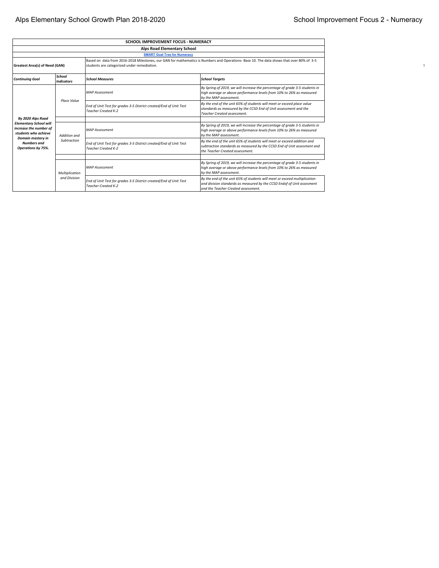|                                                                                                                                                                                                                          |                                     | SCHOOL IMPROVEMENT FOCUS - NUMERACY                                                             |                                                                                                                                                                                            |  |  |  |  |  |
|--------------------------------------------------------------------------------------------------------------------------------------------------------------------------------------------------------------------------|-------------------------------------|-------------------------------------------------------------------------------------------------|--------------------------------------------------------------------------------------------------------------------------------------------------------------------------------------------|--|--|--|--|--|
|                                                                                                                                                                                                                          | <b>Alps Road Elementary School</b>  |                                                                                                 |                                                                                                                                                                                            |  |  |  |  |  |
|                                                                                                                                                                                                                          | <b>SMART Goal Tree for Numeracy</b> |                                                                                                 |                                                                                                                                                                                            |  |  |  |  |  |
| Based on data from 2016-2018 Milestones, our GAN for mathematics is Numbers and Operations-Base 10. The data shows that over 80% of 3-5<br>Greatest Area(s) of Need (GAN)<br>students are categorized under remediation. |                                     |                                                                                                 |                                                                                                                                                                                            |  |  |  |  |  |
| <b>Continuing Goal</b>                                                                                                                                                                                                   | School<br>Indicators                | <b>School Measures</b>                                                                          | <b>School Targets</b>                                                                                                                                                                      |  |  |  |  |  |
|                                                                                                                                                                                                                          | Place Value                         | <b>MAP Assessment</b>                                                                           | By Spring of 2019, we will increase the percentage of grade 3-5 students in<br>high average or above performance levels from 10% to 26% as measured<br>by the MAP assessment.              |  |  |  |  |  |
|                                                                                                                                                                                                                          |                                     | End of Unit Test for grades 3-5 District created/End of Unit Test<br><b>Teacher Created K-2</b> | By the end of the unit 65% of students will meet or exceed place value<br>standards as measured by the CCSD End of Unit assessment and the<br><b>Teacher Created assessment.</b>           |  |  |  |  |  |
| By 2020 Alps Road<br><b>Elementary School will</b><br>increase the number of<br>students who achieve                                                                                                                     | <b>Addition and</b>                 | <b>MAP Assessment</b>                                                                           | By Spring of 2019, we will increase the percentage of grade 3-5 students in<br>high average or above performance levels from 10% to 26% as measured<br>by the MAP assessment.              |  |  |  |  |  |
| Domain mastery in<br><b>Numbers</b> and<br>Operations by 75%.                                                                                                                                                            | Subtraction                         | End of Unit Test for grades 3-5 District created/End of Unit Test<br><b>Teacher Created K-2</b> | By the end of the unit 65% of students will meet or exceed addition and<br>subtraction standards as measured by the CCSD End of Unit assesment and<br>the Teacher Created assessment.      |  |  |  |  |  |
|                                                                                                                                                                                                                          | Multiplication                      | <b>MAP Assessment</b>                                                                           | By Spring of 2019, we will increase the percentage of grade 3-5 students in<br>high average or above performance levels from 10% to 26% as measured<br>by the MAP assessment.              |  |  |  |  |  |
|                                                                                                                                                                                                                          | and Division                        | End of Unit Test for grades 3-5 District created/End of Unit Test<br><b>Teacher Created K-2</b> | By the end of the unit 65% of students will meet or exceed multiplication<br>and division standards as measured by the CCSD Endof of Unit assesment<br>and the Teacher Created assessment. |  |  |  |  |  |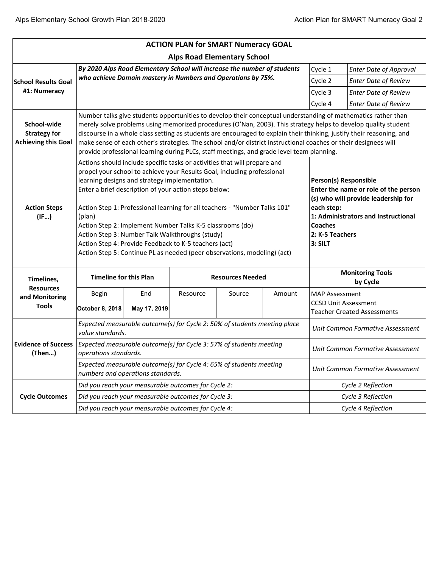|                                                                          |                                                                                                                      |                                                                                                                                                                   |          | <b>ACTION PLAN for SMART Numeracy GOAL</b>                                                                                                                                                                                                                                                                     |        |                                                            |                                                                                                                                                                                                                                                                                                                                                                                                                                                                             |  |
|--------------------------------------------------------------------------|----------------------------------------------------------------------------------------------------------------------|-------------------------------------------------------------------------------------------------------------------------------------------------------------------|----------|----------------------------------------------------------------------------------------------------------------------------------------------------------------------------------------------------------------------------------------------------------------------------------------------------------------|--------|------------------------------------------------------------|-----------------------------------------------------------------------------------------------------------------------------------------------------------------------------------------------------------------------------------------------------------------------------------------------------------------------------------------------------------------------------------------------------------------------------------------------------------------------------|--|
|                                                                          |                                                                                                                      |                                                                                                                                                                   |          | <b>Alps Road Elementary School</b>                                                                                                                                                                                                                                                                             |        |                                                            |                                                                                                                                                                                                                                                                                                                                                                                                                                                                             |  |
| By 2020 Alps Road Elementary School will increase the number of students |                                                                                                                      |                                                                                                                                                                   |          |                                                                                                                                                                                                                                                                                                                |        |                                                            | <b>Enter Date of Approval</b>                                                                                                                                                                                                                                                                                                                                                                                                                                               |  |
| <b>School Results Goal</b>                                               | who achieve Domain mastery in Numbers and Operations by 75%.                                                         |                                                                                                                                                                   |          |                                                                                                                                                                                                                                                                                                                |        |                                                            | <b>Enter Date of Review</b>                                                                                                                                                                                                                                                                                                                                                                                                                                                 |  |
| #1: Numeracy                                                             |                                                                                                                      |                                                                                                                                                                   |          |                                                                                                                                                                                                                                                                                                                |        |                                                            | <b>Enter Date of Review</b>                                                                                                                                                                                                                                                                                                                                                                                                                                                 |  |
|                                                                          |                                                                                                                      |                                                                                                                                                                   |          |                                                                                                                                                                                                                                                                                                                |        | Cycle 4                                                    | <b>Enter Date of Review</b>                                                                                                                                                                                                                                                                                                                                                                                                                                                 |  |
| School-wide<br><b>Strategy for</b><br><b>Achieving this Goal</b>         |                                                                                                                      |                                                                                                                                                                   |          | provide professional learning during PLCs, staff meetings, and grade level team planning.                                                                                                                                                                                                                      |        |                                                            | Number talks give students opportunities to develop their conceptual understanding of mathematics rather than<br>merely solve problems using memorized procedures (O'Nan, 2003). This strategy helps to develop quality student<br>discourse in a whole class setting as students are encouraged to explain their thinking, justify their reasoning, and<br>make sense of each other's strategies. The school and/or district instructional coaches or their designees will |  |
| <b>Action Steps</b><br>(IF)                                              | learning designs and strategy implementation.<br>(plan)<br>Action Step 2: Implement Number Talks K-5 classrooms (do) | Enter a brief description of your action steps below:<br>Action Step 3: Number Talk Walkthroughs (study)<br>Action Step 4: Provide Feedback to K-5 teachers (act) |          | Actions should include specific tasks or activities that will prepare and<br>propel your school to achieve your Results Goal, including professional<br>Action Step 1: Professional learning for all teachers - "Number Talks 101"<br>Action Step 5: Continue PL as needed (peer observations, modeling) (act) |        | each step:<br><b>Coaches</b><br>2: K-5 Teachers<br>3: SILT | Person(s) Responsible<br>Enter the name or role of the person<br>(s) who will provide leadership for<br>1: Administrators and Instructional                                                                                                                                                                                                                                                                                                                                 |  |
| Timelines,                                                               | <b>Timeline for this Plan</b>                                                                                        |                                                                                                                                                                   |          | <b>Resources Needed</b>                                                                                                                                                                                                                                                                                        |        |                                                            | <b>Monitoring Tools</b><br>by Cycle                                                                                                                                                                                                                                                                                                                                                                                                                                         |  |
| <b>Resources</b><br>and Monitoring                                       | Begin                                                                                                                | End                                                                                                                                                               | Resource | Source                                                                                                                                                                                                                                                                                                         | Amount | <b>MAP Assessment</b>                                      |                                                                                                                                                                                                                                                                                                                                                                                                                                                                             |  |
| <b>Tools</b>                                                             | October 8, 2018                                                                                                      | May 17, 2019                                                                                                                                                      |          |                                                                                                                                                                                                                                                                                                                |        |                                                            | <b>CCSD Unit Assessment</b><br><b>Teacher Created Assessments</b>                                                                                                                                                                                                                                                                                                                                                                                                           |  |
|                                                                          | value standards.                                                                                                     |                                                                                                                                                                   |          | Expected measurable outcome(s) for Cycle 2: 50% of students meeting place                                                                                                                                                                                                                                      |        |                                                            | Unit Common Formative Assessment                                                                                                                                                                                                                                                                                                                                                                                                                                            |  |
| <b>Evidence of Success</b><br>(Then)                                     | operations standards.                                                                                                |                                                                                                                                                                   |          | Expected measurable outcome(s) for Cycle 3: 57% of students meeting                                                                                                                                                                                                                                            |        |                                                            | Unit Common Formative Assessment                                                                                                                                                                                                                                                                                                                                                                                                                                            |  |
|                                                                          |                                                                                                                      | numbers and operations standards.                                                                                                                                 |          | Expected measurable outcome(s) for Cycle 4: 65% of students meeting                                                                                                                                                                                                                                            |        |                                                            | Unit Common Formative Assessment                                                                                                                                                                                                                                                                                                                                                                                                                                            |  |
|                                                                          |                                                                                                                      | Did you reach your measurable outcomes for Cycle 2:                                                                                                               |          |                                                                                                                                                                                                                                                                                                                |        |                                                            | Cycle 2 Reflection                                                                                                                                                                                                                                                                                                                                                                                                                                                          |  |
| <b>Cycle Outcomes</b>                                                    |                                                                                                                      | Did you reach your measurable outcomes for Cycle 3:                                                                                                               |          |                                                                                                                                                                                                                                                                                                                |        |                                                            | Cycle 3 Reflection                                                                                                                                                                                                                                                                                                                                                                                                                                                          |  |
|                                                                          | Did you reach your measurable outcomes for Cycle 4:                                                                  |                                                                                                                                                                   |          |                                                                                                                                                                                                                                                                                                                |        |                                                            | Cycle 4 Reflection                                                                                                                                                                                                                                                                                                                                                                                                                                                          |  |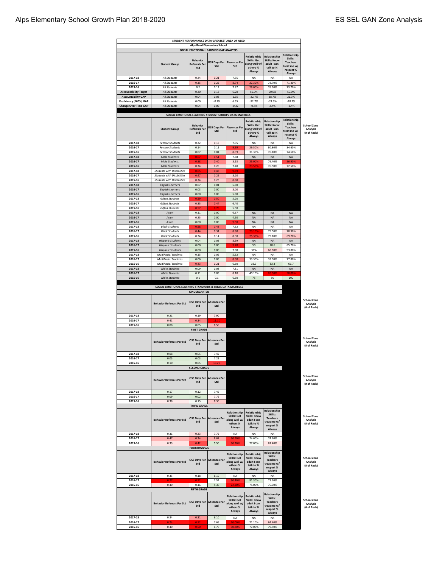| STUDENT PERFORMANCE DATA-GREATEST AREA OF NEED<br><b>Alps Road Elementary School</b> |                                                                                     |                                                        |                                    |                                                                    |                                                                                        |                                                                                        |                                                                                        |                                                      |
|--------------------------------------------------------------------------------------|-------------------------------------------------------------------------------------|--------------------------------------------------------|------------------------------------|--------------------------------------------------------------------|----------------------------------------------------------------------------------------|----------------------------------------------------------------------------------------|----------------------------------------------------------------------------------------|------------------------------------------------------|
|                                                                                      |                                                                                     | SOCIAL EMOTIONAL LEARNING GAP ANALYSIS                 |                                    |                                                                    |                                                                                        |                                                                                        |                                                                                        |                                                      |
|                                                                                      | <b>Student Group</b>                                                                | <b>Behavior</b><br><b>Referrals Per</b><br>Std         | <b>OSS Days Per</b><br>Std         | <b>Absences Per</b><br>Std                                         | Relationship<br><b>Skills: Get</b><br>along well w/<br>others %<br>Always              | Relationship<br><b>Skills: Know</b><br>adult I can<br>talk to %<br>Always              | Relationship<br>Skills:<br><b>Teachers</b><br>treat me w/<br>respect %<br>Always       |                                                      |
| 2017-18                                                                              | All Students                                                                        | 0.24                                                   | 0.21                               | 7.55                                                               | <b>NA</b><br>27.30%                                                                    | NA                                                                                     | NA<br>71.30%                                                                           |                                                      |
| 2016-17<br>2015-16                                                                   | All Students<br>All Students                                                        | 0.35<br>0.2                                            | 0.25<br>0.12                       | 8.74<br>7.87                                                       | 28.00%                                                                                 | 78.70%<br>76.30%                                                                       | 73.70%                                                                                 |                                                      |
| <b>Accountability Target</b>                                                         | All Students                                                                        | 0.20                                                   | 0.13                               | 6.20                                                               | 50.0%                                                                                  | 50.0%                                                                                  | 50.0%                                                                                  |                                                      |
| <b>Accountability GAP</b>                                                            | <b>All Students</b>                                                                 | 0.04                                                   | 0.08                               | 1.35                                                               | $-22.7%$                                                                               | 28.7%                                                                                  | 21.3%                                                                                  |                                                      |
| Proficiency (100%) GAP                                                               | All Students                                                                        | 0.00                                                   | $-0.79$                            | 6.55                                                               | $-72.7%$                                                                               | $-21.3%$                                                                               | $-28.7%$                                                                               |                                                      |
| <b>Change Over Time GAP</b>                                                          | All Students                                                                        | 0.04                                                   | 0.09                               | $-0.32$                                                            | $-0.7%$                                                                                | 2.4%                                                                                   | $-2.4%$                                                                                |                                                      |
|                                                                                      | SOCIAL EMOTIONAL LEARNING STUDENT GROUPS DATA MATRICES                              |                                                        |                                    |                                                                    |                                                                                        |                                                                                        |                                                                                        |                                                      |
| 2017-18                                                                              | <b>Student Group</b><br><b>Female Students</b>                                      | <b>Behavior</b><br><b>Referrals Per</b><br>Std<br>0.22 | OSS Days Per<br>Std<br>0.16        | <b>Absences Per</b><br>Std<br>7.35                                 | Relationship<br><b>Skills: Get</b><br>along well w/<br>others %<br>Always<br><b>NA</b> | Relationship<br><b>Skills: Know</b><br>adult I can<br>talk to %<br>Always<br><b>NA</b> | Relationship<br>Skills:<br><b>Teachers</b><br>treat me w/<br>respect %<br>Always<br>NA | <b>School Zone</b><br>Analysis<br>(# of Reds)        |
| 2016-17                                                                              | <b>Female Students</b>                                                              | 0.14                                                   | 0.11                               | 9.39                                                               | 29.50%                                                                                 | 80.80%                                                                                 | 84.60%                                                                                 |                                                      |
| 2015-16                                                                              | <b>Female Students</b>                                                              | 0.07                                                   | 0.04                               | 8.39                                                               | 31.30%                                                                                 | 76.10%                                                                                 | 74.60%                                                                                 |                                                      |
| 2017-18                                                                              | <b>Male Students</b>                                                                | 0.67                                                   | 0.51                               | 7.88                                                               | <b>NA</b>                                                                              | <b>NA</b>                                                                              | <b>NA</b>                                                                              |                                                      |
| 2016-17                                                                              | <b>Male Students</b>                                                                | 0.58                                                   | 0.40                               | 8.13                                                               | 25.00%                                                                                 | 76.40%                                                                                 | 56.90%                                                                                 |                                                      |
| 2015-16                                                                              | <b>Male Students</b>                                                                | 0.34                                                   | 0.20                               | 7.40                                                               | <b>22.505</b>                                                                          | 76.50%                                                                                 | 72.50%                                                                                 |                                                      |
| 2017-18<br>2016-17                                                                   | <b>Students with Disabilities</b><br><b>Students with Disabilities</b>              | 0.65<br>0.47                                           | 0.48<br>0.29                       | 9.89<br>8.20                                                       |                                                                                        |                                                                                        |                                                                                        |                                                      |
| 2015-16                                                                              | <b>Students with Disabilities</b>                                                   | 0.34                                                   | 0.23                               | 8.60                                                               |                                                                                        |                                                                                        |                                                                                        |                                                      |
| 2017-18                                                                              | <b>English Learners</b>                                                             | 0.07                                                   | 0.01                               | 5.00                                                               |                                                                                        |                                                                                        |                                                                                        |                                                      |
| 2016-17                                                                              | <b>English Learners</b>                                                             | 0.03                                                   | 0.00                               | 8.00                                                               |                                                                                        |                                                                                        |                                                                                        |                                                      |
| 2015-16                                                                              | <b>English Learners</b>                                                             | 0.00                                                   | 0.00                               | 5.00                                                               |                                                                                        |                                                                                        |                                                                                        |                                                      |
| 2017-18                                                                              | <b>Gifted Students</b>                                                              | 0.59                                                   | 0.50                               | 5.20                                                               |                                                                                        |                                                                                        |                                                                                        |                                                      |
| 2016-17<br>2015-16                                                                   | <b>Gifted Students</b><br><b>Gifted Students</b>                                    | 0.35<br>0.57                                           | 0.44<br>0.70                       | 6.40<br>5.50                                                       |                                                                                        |                                                                                        |                                                                                        |                                                      |
| 2017-18                                                                              | Asian                                                                               | 0.11                                                   | 0.00                               | 6.67                                                               | <b>NA</b>                                                                              | <b>NA</b>                                                                              | <b>NA</b>                                                                              |                                                      |
| 2016-17                                                                              | Asian                                                                               | 0.25                                                   | 0.00                               | 4.50                                                               | <b>NA</b>                                                                              | <b>NA</b>                                                                              | <b>NA</b>                                                                              |                                                      |
| 2015-16                                                                              | Asian                                                                               | 0.00                                                   | 0.00                               | 9.50                                                               | <b>NA</b>                                                                              | <b>NA</b>                                                                              | NA                                                                                     |                                                      |
| 2017-18                                                                              | <b>Black Students</b>                                                               | 0.58                                                   | 0.43                               | 7.62                                                               | ΝA                                                                                     | <b>NA</b>                                                                              | NA                                                                                     |                                                      |
| 2016-17                                                                              | <b>Black Students</b>                                                               | 0.44                                                   | 0.31                               | 8.80                                                               | 3.10                                                                                   | 79.50%                                                                                 | 70.90%                                                                                 |                                                      |
| 2015-16<br>2017-18                                                                   | <b>Black Students</b>                                                               | 0.24<br>0.04                                           | 0.14<br>0.03                       | 8.30<br>8.39                                                       | 25.30%<br><b>NA</b>                                                                    | 79.10%<br><b>NA</b>                                                                    | 69.20%<br><b>NA</b>                                                                    |                                                      |
| 2016-17                                                                              | <b>Hispanic Students</b><br><b>Hispanic Students</b>                                | 0.00                                                   | 0.00                               | 9.70                                                               | 50                                                                                     | 78.6                                                                                   | 85.70%                                                                                 |                                                      |
| 2015-16                                                                              | <b>Hispanic Students</b>                                                            | 0.00                                                   | 0.00                               | 7.00                                                               | 31%                                                                                    | 68.80%                                                                                 | 93.80%                                                                                 |                                                      |
| 2017-18                                                                              | <b>MultiRacial Students</b>                                                         | 0.15                                                   | 0.09                               | 5.62                                                               | NA                                                                                     | <b>NA</b>                                                                              | <b>NA</b>                                                                              |                                                      |
| 2016-17                                                                              | <b>MultiRacial Students</b>                                                         | 0.06                                                   | 0.06                               | 8.90                                                               | 33.30%                                                                                 | 33.30%                                                                                 | 77.80%                                                                                 |                                                      |
| 2015-16                                                                              | <b>MultiRacial Students</b>                                                         | 0.43                                                   | 0.21                               | 6.60                                                               | 33.3                                                                                   | 83.3                                                                                   | 66.7                                                                                   |                                                      |
| 2017-18                                                                              | <b>White Students</b>                                                               | 0.09                                                   | 0.08                               | 7.81                                                               | <b>NA</b>                                                                              | <b>NA</b>                                                                              | <b>NA</b>                                                                              |                                                      |
| 2016-17                                                                              | <b>White Students</b>                                                               | 0.11                                                   | 0.09                               | 8.10                                                               | 40.10%                                                                                 | 20.009                                                                                 | 50.00%                                                                                 |                                                      |
|                                                                                      |                                                                                     |                                                        |                                    |                                                                    |                                                                                        |                                                                                        |                                                                                        |                                                      |
| 2015-16                                                                              | <b>White Students</b><br>SOCIAL EMOTIONAL LEARNING STANDARDS & SKILLS DATA MATRICES | 0.1                                                    | $0.1\,$                            | 6.50                                                               | 75                                                                                     | 50                                                                                     | 100                                                                                    |                                                      |
| 2017-18                                                                              | <b>Behavior Referrals Per Std</b><br>0.21                                           | KINDERGARTEN<br><b>OSS Davs Per</b><br>Std<br>0.19     | <b>Absences Per</b><br>Std<br>7.90 |                                                                    |                                                                                        |                                                                                        |                                                                                        | <b>School Zone</b><br><b>Analysis</b><br>(# of Reds) |
| 2016-17                                                                              | 0.41                                                                                | 0.34                                                   | 11.10                              |                                                                    |                                                                                        |                                                                                        |                                                                                        |                                                      |
| 2015-16                                                                              | 0.08                                                                                | 0.05                                                   | 8.50                               |                                                                    |                                                                                        |                                                                                        |                                                                                        |                                                      |
|                                                                                      | <b>Behavior Referrals Per Std</b>                                                   | <b>FIRST GRADE</b><br><b>OSS Days Per</b><br>Std       | <b>Absences Per</b><br>Std         |                                                                    |                                                                                        |                                                                                        |                                                                                        | <b>School Zone</b><br><b>Analysis</b><br>(# of Reds) |
| 2017-18                                                                              | 0.08                                                                                | 0.05                                                   | 7.42                               |                                                                    |                                                                                        |                                                                                        |                                                                                        |                                                      |
| 2016-17                                                                              | 0.05                                                                                | 0.03                                                   | 7.23                               |                                                                    |                                                                                        |                                                                                        |                                                                                        |                                                      |
| 2015-16                                                                              | 0.10                                                                                | 0.05                                                   | 10.20                              |                                                                    |                                                                                        |                                                                                        |                                                                                        |                                                      |
|                                                                                      | <b>Behavior Referrals Per Std</b>                                                   | <b>SECOND GRADE</b><br><b>OSS Days Per</b><br>Std      | <b>Absences Per</b><br>Std         |                                                                    |                                                                                        |                                                                                        |                                                                                        | School Zone<br><b>Analysis</b><br>(# of Reds)        |
| 2017-18<br>2016-17                                                                   | 0.17<br>0.09                                                                        | 0.12<br>0.02                                           | 7.49<br>7.79                       |                                                                    |                                                                                        |                                                                                        |                                                                                        |                                                      |
| 2015-16                                                                              | 0.38                                                                                | 0.15                                                   | 8.30                               |                                                                    |                                                                                        |                                                                                        |                                                                                        |                                                      |
|                                                                                      | <b>Behavior Referrals Per Std</b>                                                   | <b>THIRD GRADE</b><br><b>OSS Days Per</b><br>Std       | <b>Absences Per</b><br>Std         | Relationship<br>Skills: Get<br>long well w/<br>others %<br>Always  | Relationship<br><b>Skills: Know</b><br>adult I can<br>talk to %<br>Always              | Relationship<br>Skills:<br><b>Teachers</b><br>treat me w/<br>respect%<br>Always        |                                                                                        | School Zone<br>Analysis<br>(# of Reds)               |
| 2017-18                                                                              | 0.31                                                                                | 0.23                                                   | 7.72                               | NA                                                                 | NA                                                                                     | NA                                                                                     |                                                                                        |                                                      |
| 2016-17                                                                              | 0.47                                                                                | 0.34                                                   | 8.67                               | 30.50%                                                             | 74.60%                                                                                 | 74.60%                                                                                 |                                                                                        |                                                      |
| 2015-16                                                                              | 0.39                                                                                | 0.42                                                   | 5.50                               | 30.20%                                                             | 77.00%                                                                                 | 67.40%                                                                                 |                                                                                        |                                                      |
|                                                                                      | <b>Behavior Referrals Per Std</b>                                                   | <b>FOURTHGRADE</b><br><b>OSS Days Per</b><br>Std       | <b>Absences Per</b><br>Std         | Relationship<br>Skills: Get<br>long well w/<br>others %<br>Always  | Relationship<br><b>Skills: Know</b><br>adult I can<br>talk to %<br>Always              | Relationship<br>Skills:<br><b>Teachers</b><br>treat me w/<br>respect%<br>Always        |                                                                                        | <b>School Zone</b><br><b>Analysis</b><br>(# of Reds) |
| 2017-18                                                                              | 0.35                                                                                | 0.18                                                   | 6.10                               | NA                                                                 | NA                                                                                     | NA                                                                                     |                                                                                        |                                                      |
| 2016-17                                                                              | 0.77                                                                                | 0.52                                                   | 7.52                               | 30.40%                                                             | 91.30%                                                                                 | 73.90%                                                                                 |                                                                                        |                                                      |
| 2015-16                                                                              | 0.40                                                                                | 0.16<br><b>FIFTH GRADE</b>                             | 5.30                               | 22.20%                                                             | 75.00%                                                                                 | 75.00%                                                                                 |                                                                                        |                                                      |
|                                                                                      | <b>Behavior Referrals Per Std</b>                                                   | <b>OSS Days Per</b><br>Std                             | <b>Absences Per</b><br>Std         | Relationship<br>Skills: Get<br>along well w/<br>others %<br>Always | Relationship<br><b>Skills: Know</b><br>adult I can<br>talk to %<br>Always              | Relationship<br>Skills:<br><b>Teachers</b><br>treat me w/<br>respect%<br>Always        |                                                                                        | <b>School Zone</b><br><b>Analysis</b><br>(# of Reds) |
| 2017-18                                                                              | 0.34                                                                                | 0.31                                                   | 6.10                               | NA                                                                 | NA                                                                                     | <b>NA</b>                                                                              |                                                                                        |                                                      |
| 2016-17<br>2015-16                                                                   | 0.74<br>0.40                                                                        | 0.52<br>0.50                                           | 7.66<br>6.70                       | 20.00%<br>30.80%                                                   | 71.10%<br>77.00%                                                                       | 64.40%<br>79.50%                                                                       |                                                                                        |                                                      |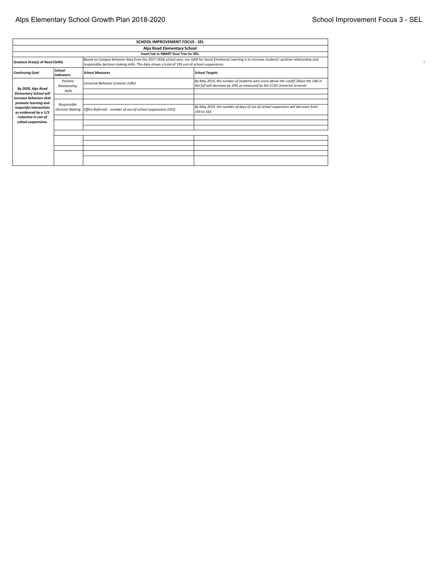# Alps Elementary School Growth Plan 2018-2020 **School Improvement Focus 3 - SEL** School Improvement Focus 3 - SEL

| <b>SCHOOL IMPROVEMENT FOCUS - SEL</b>                                                                                                                                                                                                                                                           |                                        |                                                              |                                                                                                                                                              |  |  |  |  |
|-------------------------------------------------------------------------------------------------------------------------------------------------------------------------------------------------------------------------------------------------------------------------------------------------|----------------------------------------|--------------------------------------------------------------|--------------------------------------------------------------------------------------------------------------------------------------------------------------|--|--|--|--|
|                                                                                                                                                                                                                                                                                                 | Alps Road Elementary School            |                                                              |                                                                                                                                                              |  |  |  |  |
|                                                                                                                                                                                                                                                                                                 | Insert link to SMART Goal Tree for SEL |                                                              |                                                                                                                                                              |  |  |  |  |
| Based on Campus behavior data from the 2017-2018 school year, our GAN for Social Emotional Learning is to increase students' positive relationship and<br><b>Greatest Area(s) of Need (GAN)</b><br>responsible decision making skills. The data shows a total of 193 out-of-school suspensions. |                                        |                                                              |                                                                                                                                                              |  |  |  |  |
| <b>Continuing Goal</b>                                                                                                                                                                                                                                                                          | School<br>Indicators                   | <b>School Measures</b>                                       | <b>School Targets</b>                                                                                                                                        |  |  |  |  |
| By 2020, Alps Road<br><b>Elementary School will</b>                                                                                                                                                                                                                                             | Positive<br>Relationship<br>Skills     | Universal Behavior Screener (UBS)                            | By May 2019, the number of students who score above the cutoff (36)on the UBS in<br>the fall will decrease by 20% as measured by the CCSD Universal Screener |  |  |  |  |
| increase behaviors that                                                                                                                                                                                                                                                                         |                                        |                                                              |                                                                                                                                                              |  |  |  |  |
| promote learning and<br>respectful interactions<br>as evidenced by a 1/3                                                                                                                                                                                                                        | Responsible<br><b>Decision Making</b>  | Office Referrals - number of out-of-school suspensions (OSS) | By May 2019, the number of days of out-of-school suspension will decrease from<br>193 to 163.                                                                |  |  |  |  |
| reduction in out-of                                                                                                                                                                                                                                                                             |                                        |                                                              |                                                                                                                                                              |  |  |  |  |
| school suspensions.                                                                                                                                                                                                                                                                             |                                        |                                                              |                                                                                                                                                              |  |  |  |  |
|                                                                                                                                                                                                                                                                                                 |                                        |                                                              |                                                                                                                                                              |  |  |  |  |
|                                                                                                                                                                                                                                                                                                 |                                        |                                                              |                                                                                                                                                              |  |  |  |  |
|                                                                                                                                                                                                                                                                                                 |                                        |                                                              |                                                                                                                                                              |  |  |  |  |
|                                                                                                                                                                                                                                                                                                 |                                        |                                                              |                                                                                                                                                              |  |  |  |  |
|                                                                                                                                                                                                                                                                                                 |                                        |                                                              |                                                                                                                                                              |  |  |  |  |
|                                                                                                                                                                                                                                                                                                 |                                        |                                                              |                                                                                                                                                              |  |  |  |  |